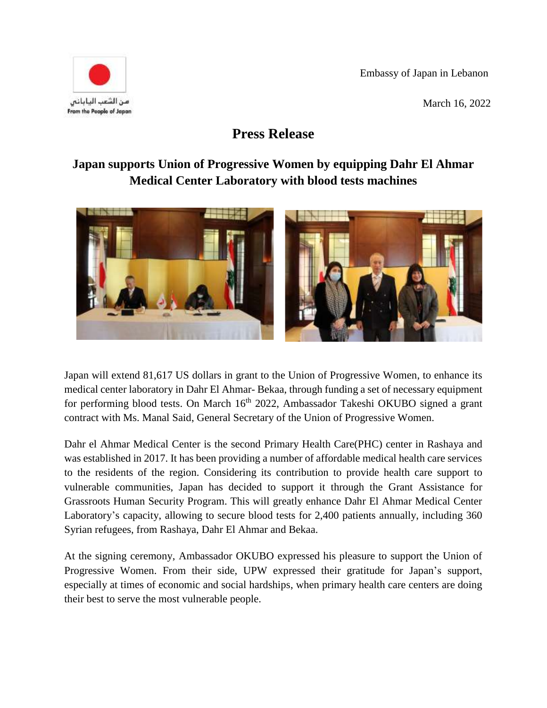Embassy of Japan in Lebanon

March 16, 2022



## **Press Release**

## **Japan supports Union of Progressive Women by equipping Dahr El Ahmar Medical Center Laboratory with blood tests machines**



Japan will extend 81,617 US dollars in grant to the Union of Progressive Women, to enhance its medical center laboratory in Dahr El Ahmar- Bekaa, through funding a set of necessary equipment for performing blood tests. On March 16<sup>th</sup> 2022, Ambassador Takeshi OKUBO signed a grant contract with Ms. Manal Said, General Secretary of the Union of Progressive Women.

Dahr el Ahmar Medical Center is the second Primary Health Care(PHC) center in Rashaya and was established in 2017. It has been providing a number of affordable medical health care services to the residents of the region. Considering its contribution to provide health care support to vulnerable communities, Japan has decided to support it through the Grant Assistance for Grassroots Human Security Program. This will greatly enhance Dahr El Ahmar Medical Center Laboratory's capacity, allowing to secure blood tests for 2,400 patients annually, including 360 Syrian refugees, from Rashaya, Dahr El Ahmar and Bekaa.

At the signing ceremony, Ambassador OKUBO expressed his pleasure to support the Union of Progressive Women. From their side, UPW expressed their gratitude for Japan's support, especially at times of economic and social hardships, when primary health care centers are doing their best to serve the most vulnerable people.